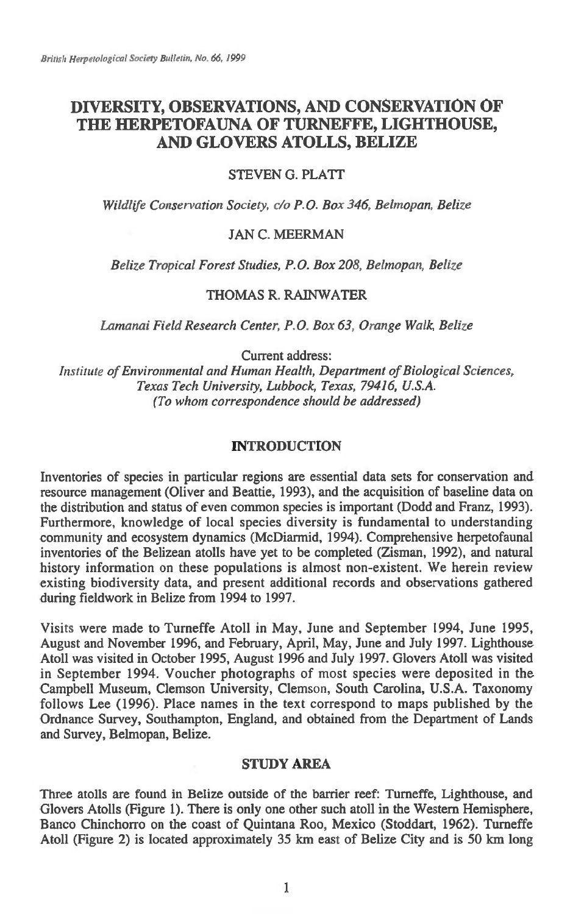# **DIVERSITY, OBSERVATIONS, AND CONSERVATION OF THE HERPETOFAUNA OF TURNEFFE, LIGHTHOUSE, AND GLOVERS ATOLLS, BELIZE**

## STEVEN G. PLATT

*Wildlife Conservation Society, do P.O. Box 346, Belmopan, Belize* 

## JAN C. MEERMAN

*Belize Tropical Forest Studies, P.O. Box 208, Behnopan, Belize* 

# THOMAS R. RAINWATER

*Lamanai Field Research Center, P.O\_Box 63, Orange Walk, Belize* 

Current address:

*Institute of Environmental and Human Health, Department of Biological Sciences, Texas Tech University, Lubbock, Texas, 79416, U.S.A. (To whom correspondence should be addressed)* 

## **INTRODUCTION**

Inventories of species in particular regions are essential data sets for conservation and resource management (Oliver and Beattie, 1993), and the acquisition of baseline data on the distribution and status of even common species is important (Dodd and Franz, 1993). Furthermore, knowledge of local species diversity is fundamental to understanding community and ecosystem dynamics (McDiarmid, 1994). Comprehensive herpetofaunal inventories of the Belizean atolls have yet to be completed (Zisman, 1992), and natural history information on these populations is almost non-existent. We herein review existing biodiversity data, and present additional records and observations gathered during fieldwork in Belize from 1994 to 1997.

Visits were made to Turneffe Atoll in May, June and September 1994, June 1995, August and November 1996, and February, April, May, June and July 1997. Lighthouse Atoll was visited in October 1995, August 1996 and July 1997. Glovers Atoll was visited in September 1994. Voucher photographs of most species were deposited in the Campbell Museum, Clemson University, Clemson, South Carolina, U.S.A. Taxonomy follows Lee (1996). Place names in the text correspond to maps published by the Ordnance Survey, Southampton, England, and obtained from the Department of Lands and Survey, Belmopan, Belize.

## **STUDY AREA**

Three atolls are found in Belize outside of the barrier reef: Turneffe, Lighthouse, and Glovers Atolls (Figure 1). There is only one other such atoll in the Western Hemisphere, Banco Chinchorro on the coast of Quintana Roo, Mexico (Stoddart, 1962). Turneffe Atoll (Figure 2) is located approximately 35 km east of Belize City and is 50 km long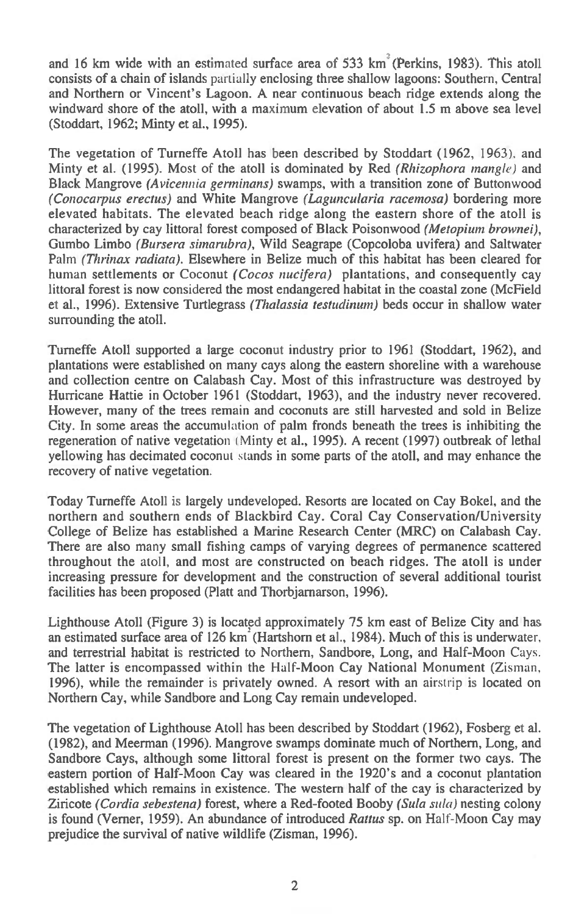**and 16 km wide with an estimated surface area of 533 km' (Perkins, 1983). This atoll consists of a chain of islands partially enclosing three shallow lagoons: Southern, Central and Northern or Vincent's Lagoon. A near continuous beach ridge extends along the windward shore of the atoll, with a maximum elevation of about 1.5 m above sea level (Stoddart, 1962; Minty et al., 1995).** 

**The vegetation of Turneffe Atoll has been described by Stoddart (1962, 1963). and Minty et al. (1995). Most of the atoll is dominated by Red** *(Rhizophora mangle)* **and Black Mangrove** *(Avicennia genninans)* **swamps, with a transition zone of Buttonwood**  *(Conocarpus erectus)* **and White Mangrove** *(Laguncularia racemosa)* **bordering more elevated habitats. The elevated beach ridge along the eastern shore of the atoll is characterized by cay littoral forest composed of Black Poisonwood** *(Metopium brownei),*  **Gumbo Limbo** *(Bursera simarubra),* **Wild Seagrape (Copcoloba uvifera) and Saltwater**  Palm *(Thrinax radiata).* **Elsewhere in Belize much of this habitat has been cleared for human settlements or Coconut** *(Cocos nucifera)* **plantations, and consequently cay littoral forest is now considered the most endangered habitat in the coastal zone (McField et al., 1996). Extensive Turtlegrass** *(Thalassia testudinum)* **beds occur in shallow water surrounding the atoll.** 

**Turneffe Atoll supported a large coconut industry prior to 1961 (Stoddart, 1962), and plantations were established on many cays along the eastern shoreline with a warehouse and collection centre on Calabash Cay. Most of this infrastructure was destroyed by Hurricane Hattie in October 1961 (Stoddart, 1963), and the industry never recovered. However, many of the trees remain and coconuts are still harvested and sold in Belize City. In some areas the accumulation of palm fronds beneath the trees is inhibiting the regeneration of native vegetation ( Minty et al., 1995). A recent (1997) outbreak of lethal yellowing has decimated coconut stands in some parts of the atoll, and may enhance the recovery of native vegetation.** 

**Today Turneffe Atoll is largely undeveloped. Resorts are located on Cay Bokel, and the northern and southern ends of Blackbird Cay. Coral Cay Conservation/University College of Belize has established a Marine Research Center (MRC) on Calabash Cay. There are also many small fishing camps of varying degrees of permanence scattered throughout the atoll, and most are constructed on beach ridges. The atoll is under increasing pressure for development and the construction of several additional tourist facilities has been proposed (Platt and Thorbjarnarson, 1996).** 

**Lighthouse Atoll (Figure 3) is located approximately 75 km east of Belize City and has**  an estimated surface area of 126 km<sup>-</sup>(Hartshorn et al., 1984). Much of this is underwater, **and terrestrial habitat is restricted to Northern, Sandbore, Long, and Half-Moon** Cays. **The latter is encompassed within the Half-Moon Cay National Monument** (Zisman, **1996), while the remainder is privately owned. A resort with an** airstrip **is located on Northern Cay, while Sandbore and Long Cay remain undeveloped.** 

**The vegetation of Lighthouse Atoll has been described by Stoddart (1962), Fosberg et al. (1982), and Meerman (1996). Mangrove swamps dominate much of Northern, Long, and Sandbore Cays, although some littoral forest is present on the former two cays. The eastern portion of Half-Moon Cay was cleared in the 1920's and a coconut plantation established which remains in existence. The western half of the cay is characterized by Ziricote** *(Cordia sebestena)* **forest, where a Red-footed Booby** *(Sula sula)* **nesting colony is found (Verner, 1959). An abundance of introduced** *Rattus* **sp. on Half-Moon Cay may prejudice the survival of native wildlife (Zisman, 1996).**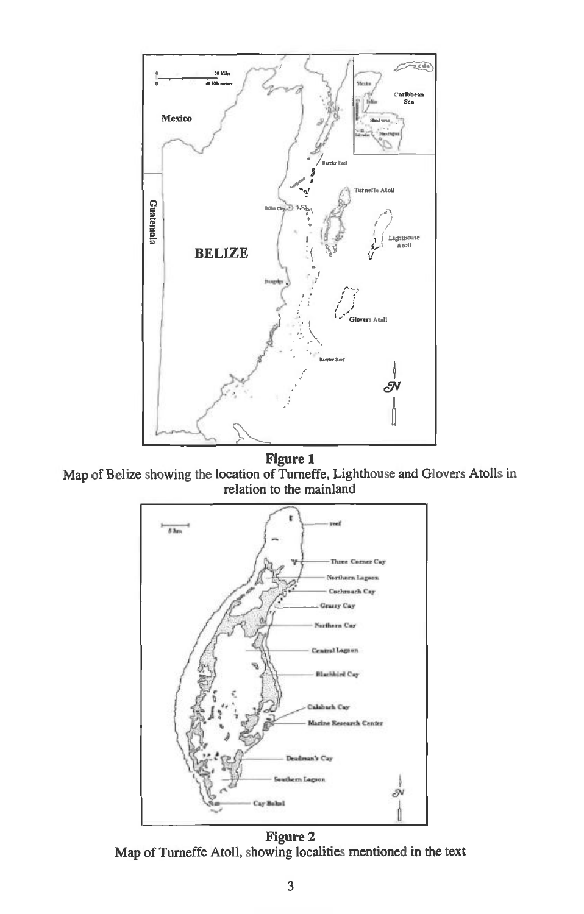

**Eigure 1**<br>Map of Belize showing the location of Turneffe, Lighthouse and Glovers Atolls in relation to the mainland



Figure 2<br>Map of Turneffe Atoll, showing localities mentioned in the text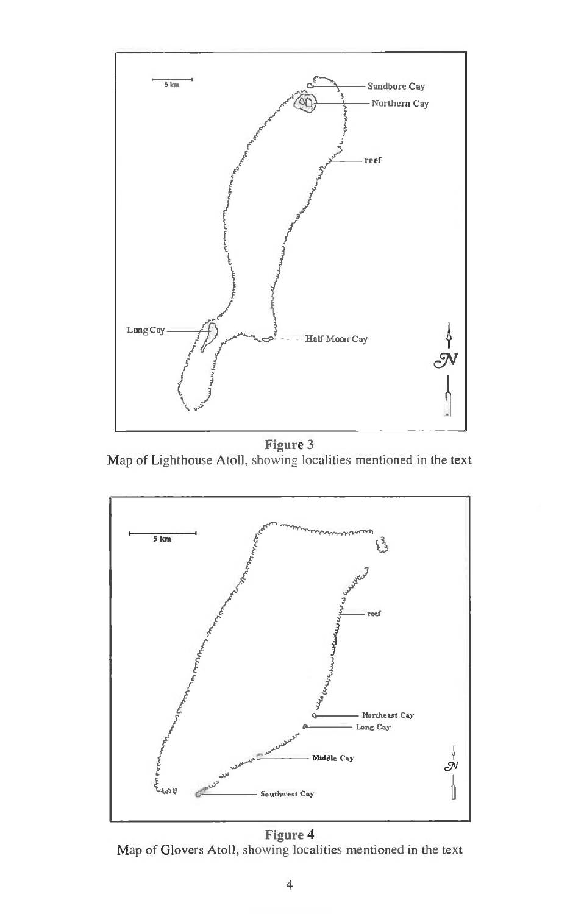

Figure 3<br>Map of Lighthouse Atoll, showing localities mentioned in the text



**Eigure 4**<br>Map of Glovers Atoll, showing localities mentioned in the text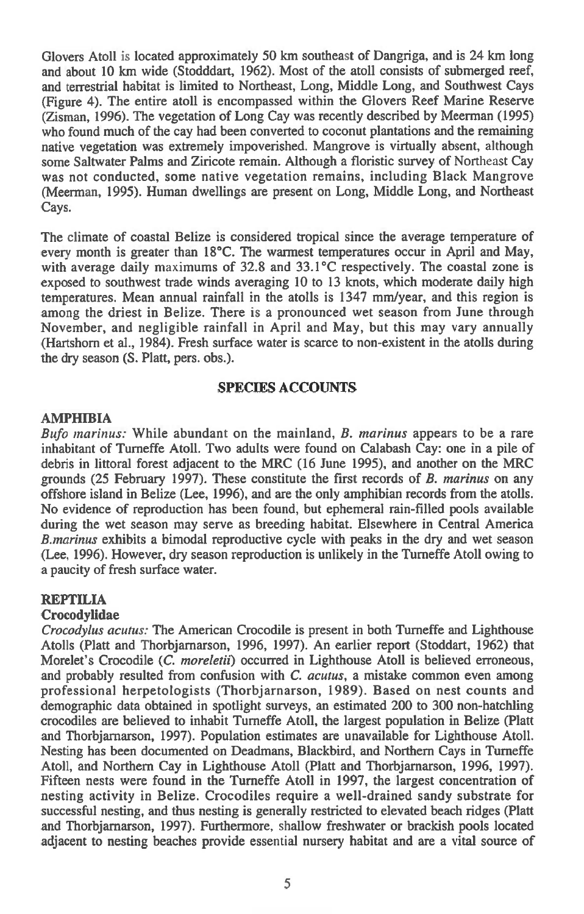Glovers Atoll is located approximately 50 km southeast of Dangriga, and is 24 km long and about 10 km wide (Stodddart, 1962). Most of the atoll consists of submerged reef, and terrestrial habitat is limited to Northeast, Long, Middle Long, and Southwest Cays (Figure 4). The entire atoll is encompassed within the Glovers Reef Marine Reserve (Zisman, 1996). The vegetation of Long Cay was recently described by Meerman (1995) who found much of the cay had been converted to coconut plantations and the remaining native vegetation was extremely impoverished. Mangrove is virtually absent, although some Saltwater Palms and Ziricote remain. Although a floristic survey of Northeast Cay was not conducted, some native vegetation remains, including Black Mangrove (Meerman, 1995). Human dwellings are present on Long, Middle Long, and Northeast Cays.

The climate of coastal Belize is considered tropical since the average temperature of every month is greater than 18°C. The warmest temperatures occur in April and May, with average daily maximums of 32.8 and 33.1°C respectively. The coastal zone is exposed to southwest trade winds averaging 10 to 13 knots, which moderate daily high temperatures. Mean annual rainfall in the atolls is 1347 mm/year, and this region is among the driest in Belize. There is a pronounced wet season from June through November, and negligible rainfall in April and May, but this may vary annually (Hartshorn et al., 1984). Fresh surface water is scarce to non-existent in the atolls during the dry season (S. Platt, pers. obs.).

# **SPECIES ACCOUNTS**

## **AMPHIBIA**

*Bufo marinus:* While abundant on the mainland, *B. marinus* appears to be a rare inhabitant of Turneffe Atoll. Two adults were found on Calabash Cay: one in a pile of debris in littoral forest adjacent to the MRC (16 June 1995), and another on the MRC grounds (25 February 1997). These constitute the first records of *B. marinus* on any offshore island in Belize (Lee, 1996), and are the only amphibian records from the atolls. No evidence of reproduction has been found, but ephemeral rain-filled pools available during the wet season may serve as breeding habitat. Elsewhere in Central America *B.marinus* exhibits a bimodal reproductive cycle with peaks in the dry and wet season (Lee, 1996). However, dry season reproduction is unlikely in the Turneffe Atoll owing to a paucity of fresh surface water.

# **REPTILIA**

#### **Crocodylidae**

*Crocodylus acutus:* The American Crocodile is present in both Turneffe and Lighthouse Atolls (Platt and Thorbjarnarson, 1996, 1997). An earlier report (Stoddart, 1962) that Morelet's Crocodile *(C. moreletii)* occurred in Lighthouse Atoll is believed erroneous, and probably resulted from confusion with *C. acutus, a* mistake common even among professional herpetologists (Thorbjarnarson, 1989). Based on nest counts and demographic data obtained in spotlight surveys, an estimated 200 to 300 non-hatchling crocodiles are believed to inhabit Turneffe Atoll, the largest population in Belize (Platt and Thorbjamarson, 1997). Population estimates are unavailable for Lighthouse Atoll. Nesting has been documented on Deadmans, Blackbird, and Northern Cays in Turneffe Atoll, and Northern Cay in Lighthouse Atoll (Platt and Thorbjarnarson, 1996, 1997). Fifteen nests were found in the Turneffe Atoll in 1997, the largest concentration of nesting activity in Belize. Crocodiles require a well-drained sandy substrate for successful nesting, and thus nesting is generally restricted to elevated beach ridges (Platt and Thorbjarnarson, 1997). Furthermore, shallow freshwater or brackish pools located adjacent to nesting beaches provide essential nursery habitat and are a vital source of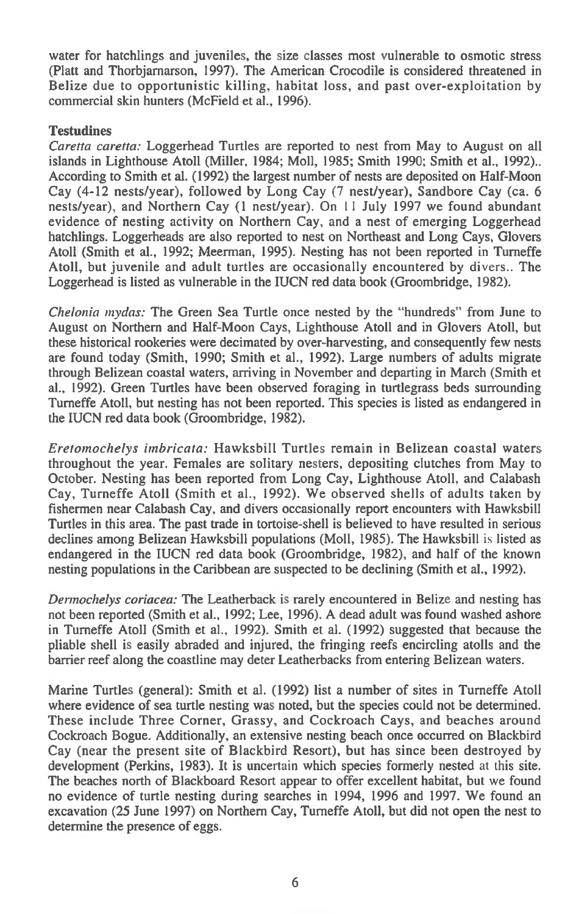water for hatchlings and juveniles, the size classes most vulnerable to osmotic stress (Platt and Thorbjarnarson, 1997). The American Crocodile is considered threatened in Belize due to opportunistic killing, habitat loss, and past over-exploitation by commercial skin hunters (McField et al., 1996).

# **Testudines**

*Caretta caretta:* Loggerhead Turtles are reported to nest from May to August on all islands in Lighthouse Atoll (Miller, 1984; Moll, 1985; Smith 1990; Smith et al., 1992).. According to Smith et al. (1992) the largest number of nests are deposited on Half-Moon Cay (4-12 nests/year), followed by Long Cay *(7* nest/year), Sandbore Cay (ca. 6 nests/year), and Northern Cay (1 nest/year). On 1 I July 1997 we found abundant evidence of nesting activity on Northern Cay, and a nest of emerging Loggerhead hatchlings. Loggerheads are also reported to nest on Northeast and Long Cays, Glovers Atoll (Smith et al., 1992; Meerman, 1995). Nesting has not been reported in Turneffe Atoll, but juvenile and adult turtles are occasionally encountered by divers.. The Loggerhead is listed as vulnerable in the IUCN red data book (Groombridge, 1982).

*Chelonia mydas:* The Green Sea Turtle once nested by the "hundreds" from June to August on Northern and Half-Moon Cays, Lighthouse Atoll and in Glovers Atoll, but these historical rookeries were decimated by over-harvesting, and consequently few nests are found today (Smith, 1990; Smith et al., 1992). Large numbers of adults migrate through Belizean coastal waters, arriving in November and departing in March (Smith et al., 1992). Green Turtles have been observed foraging in turtlegrass beds surrounding Turneffe Atoll, but nesting has not been reported. This species is listed as endangered in the IUCN red data book (Groombridge, 1982).

*Ereiomochelys imbricata:* Hawksbill Turtles remain in Belizean coastal waters throughout the year. Females are solitary nesters, depositing clutches from May to October. Nesting has been reported from Long Cay, Lighthouse Atoll, and Calabash Cay, Turneffe Atoll (Smith et al., 1992). We observed shells of adults taken by fishermen near Calabash Cay, and divers occasionally report encounters with Hawksbill Turtles in this area. The past trade in tortoise-shell is believed to have resulted in serious declines among Belizean Hawksbill populations (Moll, 1985). The Hawksbill is listed as endangered in the IUCN red data book (Groombridge, 1982), and half of the known nesting populations in the Caribbean are suspected to be declining (Smith et al., 1992).

*Dermochelys coriacea:* The Leatherback is rarely encountered in Belize and nesting has not been reported (Smith et al., 1992; Lee, 1996). A dead adult was found washed ashore in Turneffe Atoll (Smith et al., 1992). Smith et al. (1992) suggested that because the pliable shell is easily abraded and injured, the fringing reefs encircling atolls and the barrier reef along the coastline may deter Leatherbacks from entering Belizean waters.

Marine Turtles (general): Smith et al. (1992) list a number of sites in Turneffe Atoll where evidence of sea turtle nesting was noted, but the species could not be determined. These include Three Corner, Grassy, and Cockroach Cays, and beaches around Cockroach Bogue. Additionally, an extensive nesting beach once occurred on Blackbird Cay (near the present site of Blackbird Resort), but has since been destroyed by development (Perkins, 1983). It is uncertain which species formerly nested at this site. The beaches north of Blackboard Resort appear to offer excellent habitat, but we found no evidence of turtle nesting during searches in 1994, 1996 and 1997. We found an excavation (25 June 1997) on Northern Cay, Turneffe Atoll, but did not open the nest to determine the presence of eggs.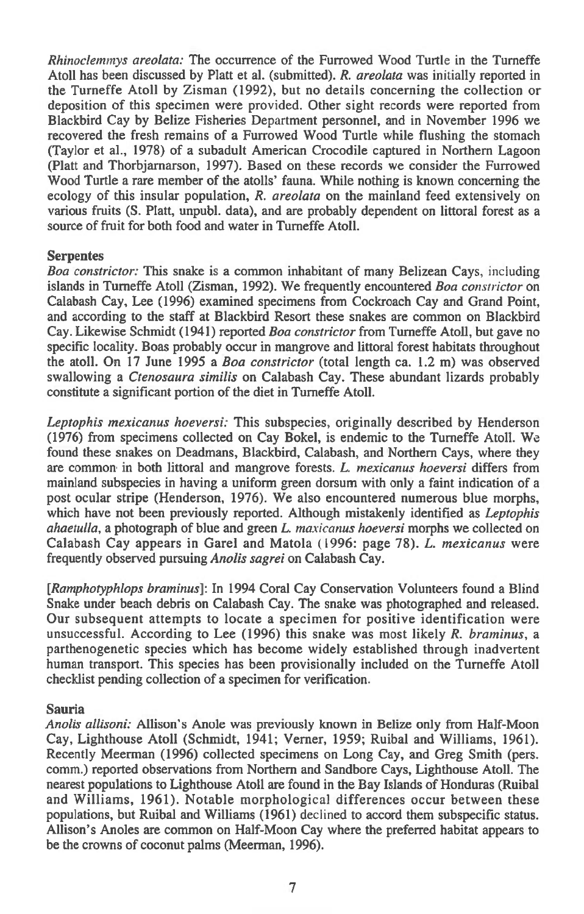*Rhinoclemmys areolata:* The occurrence of the Furrowed Wood Turtle in the Turneffe Atoll has been discussed by Platt et al. (submitted). *R. areolata* was initially reported in the Turneffe Atoll by Zisman (1992), but no details concerning the collection or deposition of this specimen were provided. Other sight records were reported from Blackbird Cay by Belize Fisheries Department personnel, and in November 1996 we recovered the fresh remains of a Furrowed Wood Turtle while flushing the stomach (Taylor et al., 1978) of a subadult American Crocodile captured in Northern Lagoon (Platt and Thorbjarnarson, 1997). Based on these records we consider the Furrowed Wood Turtle a rare member of the atolls' fauna. While nothing is known concerning the ecology of this insular population, *R. areolata* on the mainland feed extensively on various fruits (S. Platt, unpubl. data), and are probably dependent on littoral forest as a source of fruit for both food and water in Turneffe Atoll.

# **Serpentes**

*Boa constrictor:* This snake is a common inhabitant of many Belizean Cays, including islands in Turneffe Atoll (Zisman, 1992). We frequently encountered *Boa constrictor* on Calabash Cay, Lee (1996) examined specimens from Cockroach Cay and Grand Point, and according to the staff at Blackbird Resort these snakes are common on Blackbird Cay. Likewise Schmidt (1941) reported *Boa constrictor* from Turneffe Atoll, but gave no specific locality. Boas probably occur in mangrove and littoral forest habitats throughout the atoll. On 17 June 1995 *a Boa constrictor* (total length ca. 1.2 m) was observed swallowing *a Ctenosaura similis* on Calabash Cay. These abundant lizards probably constitute a significant portion of the diet in Turneffe Atoll.

*Leptophis mexicanus hoeversi:* This subspecies, originally described by Henderson (1976) from specimens collected on Cay Bokel, is endemic to the Turneffe Atoll. We found these snakes on Deadmans, Blackbird, Calabash, and Northern Cays, *where* they are common in both littoral and mangrove forests. *L. mexicanus hoeversi* differs from mainland subspecies in having a uniform green dorsum with only a faint indication of a post ocular stripe (Henderson, 1976). We also encountered numerous blue morphs, which have not been previously reported. Although mistakenly identified *as Leptophis ahaetulla,* a photograph of blue and green *L. maxicanus hoeversi* morphs we collected on Calabash Cay appears in Garel and Matola (1996: page 78). *L. mexicanus* were frequently observed pursuing *Anolis sagrei* on Calabash Cay.

*[Ramphotyphlops braminus]:* In 1994 Coral Cay Conservation Volunteers found a Blind Snake under beach debris on Calabash Cay. The snake was photographed and released. Our subsequent attempts to locate a specimen for positive identification were unsuccessful. According to Lee (1996) this snake was most likely *R. braminus,* a parthenogenetic species which has become widely established through inadvertent human transport. This species has been provisionally included on the Turneffe Atoll checklist pending collection of a specimen for verification.

#### **Sauria**

*Anolis allisoni:* Allison's Anole was previously known in Belize only from Half-Moon Cay, Lighthouse Atoll (Schmidt, 1941; Verner, 1959; Ruibal and Williams, 1961). Recently Meerman (1996) collected specimens on Long Cay, and Greg Smith (pers. comm.) reported observations from Northern and Sandbore Cays, Lighthouse Atoll. The nearest populations to Lighthouse Atoll are found in the Bay Islands of Honduras (Ruibal and Williams, 1961). Notable morphological differences occur between these populations, but Ruibal and Williams (1961) declined to accord them subspecific status. Allison's Anoles are common on Half-Moon Cay where the preferred habitat appears to be the crowns of coconut palms (Meerman, 1996).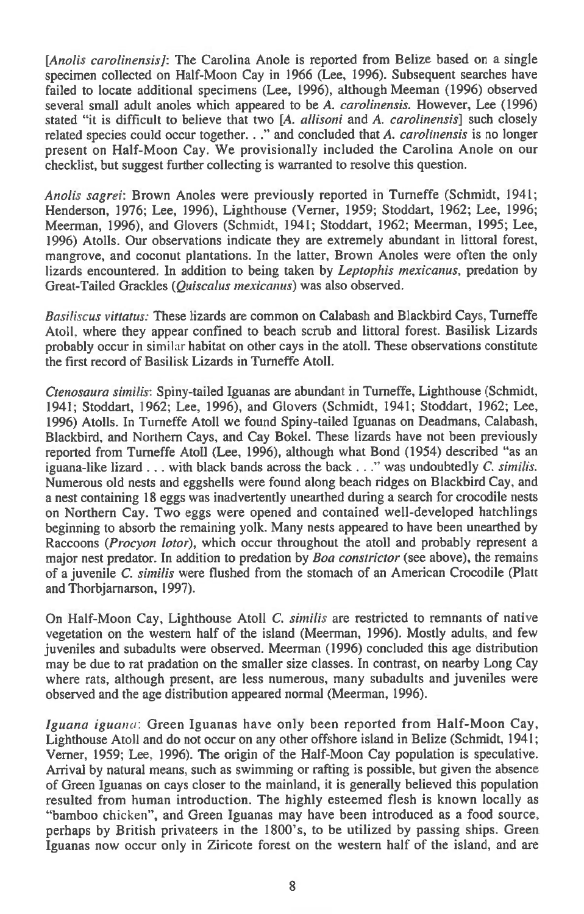*[Anolis carolinensis]:* The Carolina Anole is reported from Belize based on a single specimen collected on Half-Moon Cay in 1966 (Lee, 1996). Subsequent searches have failed to locate additional specimens (Lee, 1996), although Meeman (1996) observed several small adult anoles which appeared to be A. *carolinensis.* However, Lee (1996) stated "it is difficult to believe that two *[A. allisoni* and A. *carolinensis]* such closely related species could occur together. . ." and concluded that A. *carolinensis* is no longer present on Half-Moon Cay. We provisionally included the Carolina Anole on our checklist, but suggest further collecting is warranted to resolve this question.

*Anolis sagrei:* Brown Anoles were previously reported in Turneffe (Schmidt, 1941; Henderson, 1976; Lee, 1996), Lighthouse (Verner, 1959; Stoddart, 1962; Lee, 1996; Meerman, 1996), and Glovers (Schmidt, 1941; Stoddart, 1962; Meerman, 1995; Lee, 1996) Atolls. Our observations indicate they are extremely abundant in littoral forest, mangrove, and coconut plantations. In the latter, Brown Anoles were often the only lizards encountered. In addition to being taken by *Leptophis mexicanus,* predation by Great-Tailed Grackles *(Quiscalus mexicanus)* was also observed.

*Basiliscus vittatus:* These lizards are common on Calabash and Blackbird Cays, Turneffe Atoll, where they appear confined to beach scrub and littoral forest. Basilisk Lizards probably occur in similar habitat on other cays in the atoll. These observations constitute the first record of Basilisk Lizards in Turneffe Atoll.

*Ctenosaura similis:* Spiny-tailed Iguanas are abundant in Turneffe, Lighthouse (Schmidt, 1941; Stoddart, 1962; Lee, 1996), and Glovers (Schmidt, 1941; Stoddart, 1962; Lee, 1996) Atolls. In Turneffe Atoll we found Spiny-tailed Iguanas on Deadmans, Calabash, Blackbird, and Northern Cays, and Cay Bokel. These lizards have not been previously reported from Turneffe Atoll (Lee, 1996), although what Bond (1954) described "as an iguana-like lizard . . . with black bands across the back . ." was undoubtedly *C. similis.*  Numerous old nests and eggshells were found along beach ridges on Blackbird Cay, and a nest containing 18 eggs was inadvertently unearthed during a search for crocodile nests on Northern Cay. Two eggs were opened and contained well-developed hatchlings beginning to absorb the remaining yolk. Many nests appeared to have been unearthed by Raccoons *(Procyon lotor),* which occur throughout the atoll and probably represent a major nest predator. In addition to predation by *Boa constrictor* (see above), the remains of a juvenile *C. similis* were flushed from the stomach of an American Crocodile (Platt and Thorbjarnarson, 1997).

On Half-Moon Cay, Lighthouse Atoll *C. similis* are restricted to remnants of native vegetation on the western half of the island (Meerman, 1996). Mostly adults, and few juveniles and subadults were observed. Meerman (1996) concluded this age distribution may be due to rat pradation on the smaller size classes. In contrast, on nearby Long Cay where rats, although present, are less numerous, many subadults and juveniles were observed and the age distribution appeared normal (Meerman, 1996).

*Iguana iguana:* Green Iguanas have only been reported from Half-Moon Cay, Lighthouse Atoll and do not occur on any other offshore island in Belize (Schmidt, 1941; Verner, 1959; Lee, 1996). The origin of the Half-Moon Cay population is speculative. Arrival by natural means, such as swimming or rafting is possible, but given the absence of Green Iguanas on cays closer to the mainland, it is generally believed this population resulted from human introduction. The highly esteemed flesh is known locally as "bamboo chicken", and Green Iguanas may have been introduced as a food source, perhaps by British privateers in the 1800's, to be utilized by passing ships. Green Iguanas now occur only in Ziricote forest on the western half of the island, and are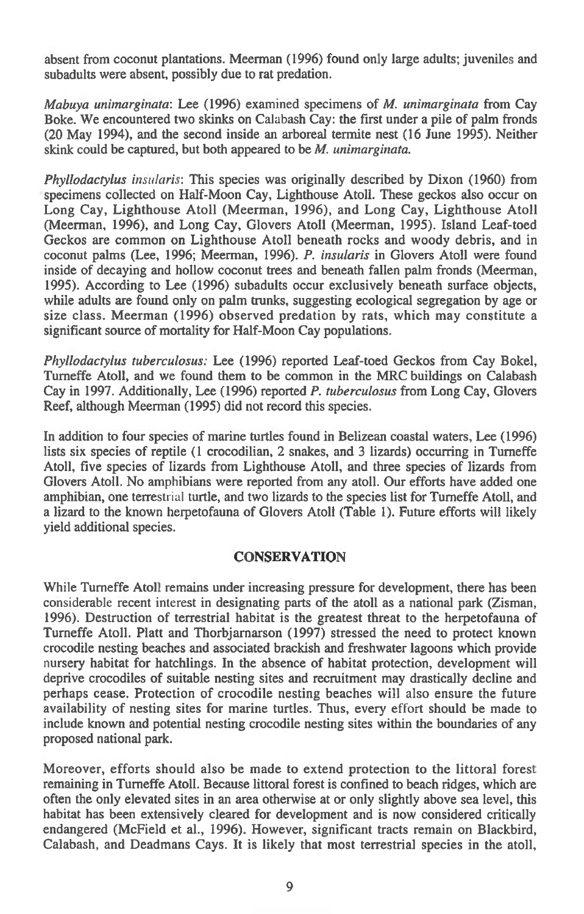absent from coconut plantations. Meerman (1996) found only large adults; juveniles and subadults were absent, possibly due to rat predation.

*Mabuya unimarginata:* Lee (1996) examined specimens of *M. unimarginata* from Cay Boke. We encountered two skinks on Calabash Cay: the first under a pile of palm fronds (20 May 1994), and the second inside an arboreal termite nest (16 June 1995). Neither skink could be captured, but both appeared to be *M. unimarginata.* 

*Phyllodactylus insularis:* This species was originally described by Dixon (1960) from specimens collected on Half-Moon Cay, Lighthouse Atoll. These geckos also occur on Long Cay, Lighthouse Atoll (Meerman, 1996), and Long Cay, Lighthouse Atoll (Meerman, 1996), and Long Cay, Glovers Atoll (Meerman, 1995). Island Leaf-toed Geckos are common on Lighthouse Atoll beneath rocks and woody debris, and in coconut palms (Lee, 1996; Meerman, 1996). *P. insularis* in Glovers Atoll were found inside of decaying and hollow coconut trees and beneath fallen palm fronds (Meerman, 1995). According to Lee (1996) subadults occur exclusively beneath surface objects, while adults are found only on palm trunks, suggesting ecological segregation by age or size class. Meerman (1996) observed predation by rats, which may constitute a significant source of mortality for Half-Moon Cay populations.

*Phyllodactylus tuberculosus:* Lee (1996) reported Leaf-toed Geckos from Cay Bokel, Turneffe Atoll, and we found them to be common in the MRC buildings on Calabash Cay in 1997. Additionally, Lee (1996) reported *P. tuberculosus* from Long Cay, Glovers Reef, although Meerman (1995) did not record this species.

In addition to four species of marine turtles found in Belizean coastal waters, Lee (1996) lists six species of reptile (1 crocodilian, 2 snakes, and 3 lizards) occurring in Turneffe Atoll, five species of lizards from Lighthouse Atoll, and three species of lizards from Glovers Atoll. No amphibians were reported from any atoll. Our efforts have added one amphibian, one terrestrial turtle, and two lizards to the species list for Turneffe Atoll, and a lizard to the known herpetofauna of Glovers Atoll (Table 1). Future efforts will likely yield additional species.

# **CONSERVATION**

While Turneffe Atoll remains under increasing pressure for development, there has been considerable recent interest in designating parts of the atoll as a national park (Zisman, 1996). Destruction of terrestrial habitat is the greatest threat to the herpetofauna of Turneffe Atoll. Platt and Thorbjarnarson (1997) stressed the need to protect known crocodile nesting beaches and associated brackish and freshwater lagoons which provide nursery habitat for hatchlings. In the absence of habitat protection, development will deprive crocodiles of suitable nesting sites and recruitment may drastically decline and perhaps cease. Protection of crocodile nesting beaches will also ensure the future availability of nesting sites for marine turtles. Thus, every effort should be made to include known and potential nesting crocodile nesting sites within the boundaries of any proposed national park.

Moreover, efforts should also be made to extend protection to the littoral forest remaining in Turneffe Atoll. Because littoral forest is confined to beach ridges, which are often the only elevated sites in an area otherwise at or only slightly above sea level, this habitat has been extensively cleared for development and is now considered critically endangered (McField et al., 1996). However, significant tracts remain on Blackbird, Calabash, and Deadmans Cays. It is likely that most terrestrial species in the atoll,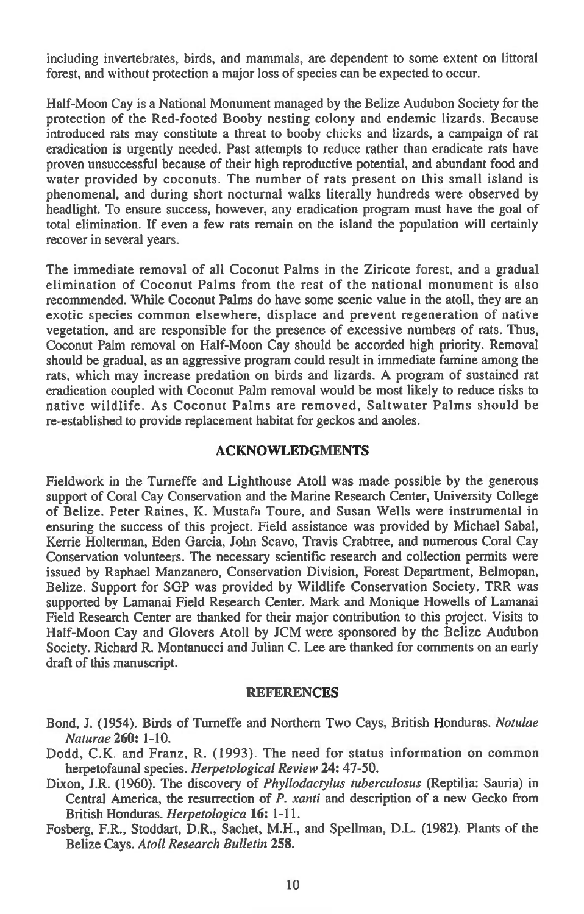including invertebrates, birds, and mammals, are dependent to some extent on littoral forest, and without protection a major loss of species can be expected to occur.

Half-Moon Cay is a National Monument managed by the Belize Audubon Society for the protection of the Red-footed Booby nesting colony and endemic lizards. Because introduced rats may constitute a threat to booby chicks and lizards, a campaign of rat eradication is urgently needed. Past attempts to reduce rather than eradicate rats have proven unsuccessful because of their high reproductive potential, and abundant food and water provided by coconuts. The number of rats present on this small island is phenomenal, and during short nocturnal walks literally hundreds were observed by headlight. To ensure success, however, any eradication program must have the goal of total elimination. If even a few rats remain on the island the population will certainly recover in several years.

The immediate removal of all Coconut Palms in the Ziricote forest, and a gradual elimination of Coconut Palms from the rest of the national monument is also recommended. While Coconut Palms do have some scenic value in the atoll, they are an exotic species common elsewhere, displace and prevent regeneration of native vegetation, and are responsible for the presence of excessive numbers of rats. Thus, Coconut Palm removal on Half-Moon Cay should be accorded high priority. Removal should be gradual, as an aggressive program could result in immediate famine among the rats, which may increase predation on birds and lizards. A program of sustained rat eradication coupled with Coconut Palm removal would be most likely to reduce risks to native wildlife. As Coconut Palms are removed, Saltwater Palms should be re-established to provide replacement habitat for geckos and anoles.

## **ACKNOWLEDGMENTS**

Fieldwork in the Turneffe and Lighthouse Atoll was made possible by the generous support of Coral Cay Conservation and the Marine Research Center, University College of Belize. Peter Raines, K. Mustafa Toure, and Susan Wells were instrumental in ensuring the success of this project. Field assistance was provided by Michael Sabal, Kerrie Holterman, Eden Garcia, John Scavo, Travis Crabtree, and numerous Coral Cay Conservation volunteers. The necessary scientific research and collection permits were issued by Raphael Manzanero, Conservation Division, Forest Department, Belmopan, Belize. Support for SGP was provided by Wildlife Conservation Society. TRR was supported by Lamanai Field Research Center. Mark and Monique Howells of Lamanai Field Research Center are thanked for their major contribution to this project. Visits to Half-Moon Cay and Glovers Atoll by JCM were sponsored by the Belize Audubon Society. Richard R. Montanucci and Julian C. Lee are thanked for comments on an early draft of this manuscript.

#### **REFERENCES**

- Bond, J. (1954). Birds of Turneffe and Northern Two Cays, British Honduras. *Notulae Naturae* **260:** 1-10.
- Dodd, C.K. and Franz, R. (1993). The need for status information on common herpetofaunal species. *Herpetological Review* **24:** 47-50.
- Dixon, J.R. (1960). The discovery of *Phyllodactylus tuberculosus* (Reptilia: Sauria) in Central America, the resurrection of *P. xanti* and description of a new Gecko from British Honduras. *Herpetologica* **16:** 1-11.
- Fosberg, F.R., Stoddart, D.R., Sachet, M.H., and Spellman, D.L. (1982). Plants of the Belize Cays. *Atoll Research Bulletin* **258.**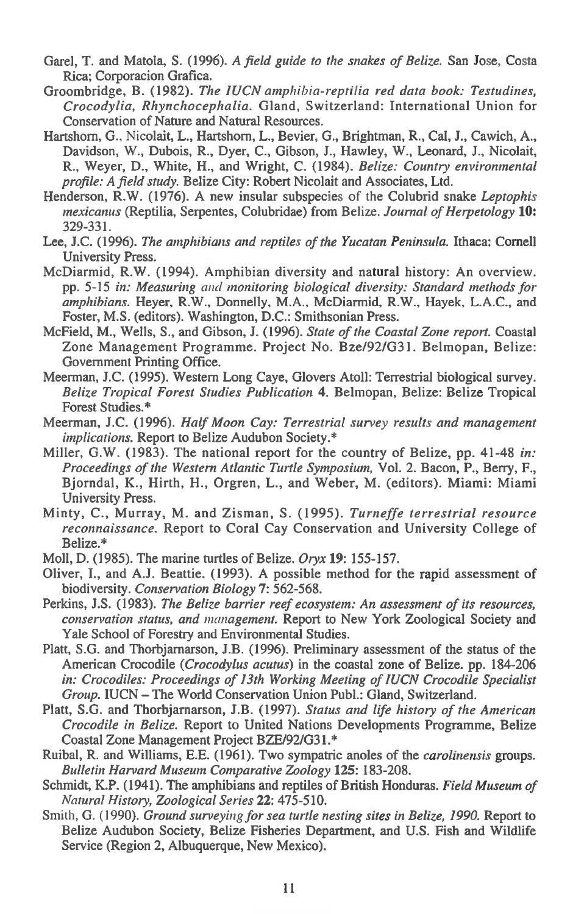- Garel, T. and Matola, S. (1996). *A field guide to the snakes of Belize.* San Jose, Costa Rica; Corporacion Grafica.
- Groombridge, B. (1982). *The JUCN amphibia-reptilia red data book: Testudines, Crocodylia, Rhynchocephalia.* Gland, Switzerland: International Union for Conservation of Nature and Natural Resources.
- Hartshom, G., Nicolait, L., Hartshorn, L., Bevier, G., Brightman, R., Cal, J., Cawich, A., Davidson, W., Dubois, R., Dyer, C., Gibson, J., Hawley, W., Leonard, J., Nicolait, R., Weyer, D., White, H., and Wright, C. (1984). *Belize: Country environmental profile: A field study.* Belize City: Robert Nicolait and Associates, Ltd.
- Henderson, R.W. (1976). A new insular subspecies of the Colubrid snake *Leptophis mexicanus* (Reptilia, Serpentes, Colubridae) from Belize. *Journal of Herpetology* **10:**  329-331.
- Lee, J.C. (1996). *The amphibians and reptiles of the Yucatan Peninsula.* Ithaca: Cornell University Press.
- McDiarmid, R.W. (1994). Amphibian diversity and natural history: An overview. pp. 5-15 *in: Measuring and monitoring biological diversity: Standard methods for amphibians.* Heyer, R.W., Donnelly, M.A., McDiarmid, R.W., Hayek, L.A.C., and Foster, M.S. (editors). Washington, D.C.: Smithsonian Press.
- McField, M., Wells, S., and Gibson, J. (1996). *State of the Coastal Zone report.* Coastal Zone Management Programme. Project No. Bze/92/G31. Belmopan, Belize: Government Printing Office.
- Meerman, J.C. (1995). Western Long Caye, Glovers Atoll: Terrestrial biological survey. *Belize Tropical Forest Studies Publication* **4.** Belmopan, Belize: Belize Tropical Forest Studies.\*
- Meerman, J.C. (1996). *Half Moon Cay: Terrestrial survey results and management implications.* Report to Belize Audubon Society.\*
- Miller, G.W. (1983). The national report for the country of Belize, pp. 41-48 *in: Proceedings of the Western Atlantic Turtle Symposium,* Vol. 2. Bacon, P., Berry, F., Bjorndal, K., Hirth, H., Orgren, L., and Weber, M. (editors). Miami: Miami University Press.
- Minty, C., Murray, M. and Zisman, S. (1995). *Turneffe terrestrial resource reconnaissance.* Report to Coral Cay Conservation and University College of Belize.\*
- Moll, D. (1985). The marine turtles of Belize. *Oryx* **19:** 155-157.
- Oliver, **I.,** and A.J. Beattie. (1993). A possible method for the rapid assessment of biodiversity. *Conservation Biology* **7:** 562-568.
- Perkins, J.S. (1983). *The Belize barrier reef ecosystem: An assessment of its resources, conservation status, and management.* Report to New York Zoological Society and Yale School of Forestry and Environmental Studies.
- Platt, S.G. and Thorbjarnarson, **J.B.** (1996). Preliminary assessment of the status of the American Crocodile *(Crocodylus acutus)* in the coastal zone of Belize. pp. 184-206 *in: Crocodiles: Proceedings of 13th Working Meeting of IUCN Crocodile Specialist Group.* IUCN — The World Conservation Union Publ.: Gland, Switzerland.
- Platt, S.G. and Thorbjarnarson, **J.B.** (1997). *Status and life history of the American Crocodile in Belize.* Report to United Nations Developments Programme, Belize Coastal Zone Management Project BZE/92/G31.\*
- Ruibal, R. and Williams, E.E. (1961). Two sympatric anoles of the *carolinensis* groups. *Bulletin Harvard Museum Comparative Zoology* **125:** 183-208.
- Schmidt, K.P. (1941). The amphibians and reptiles of British Honduras. *Field Museum of Natural History, Zoological Series* **22:** 475-510.
- Smith, G. (1990). *Ground surveying for sea turtle nesting sites in Belize, 1990*. Report to Belize Audubon Society, Belize Fisheries Department, and U.S. Fish and Wildlife Service (Region 2, Albuquerque, New Mexico).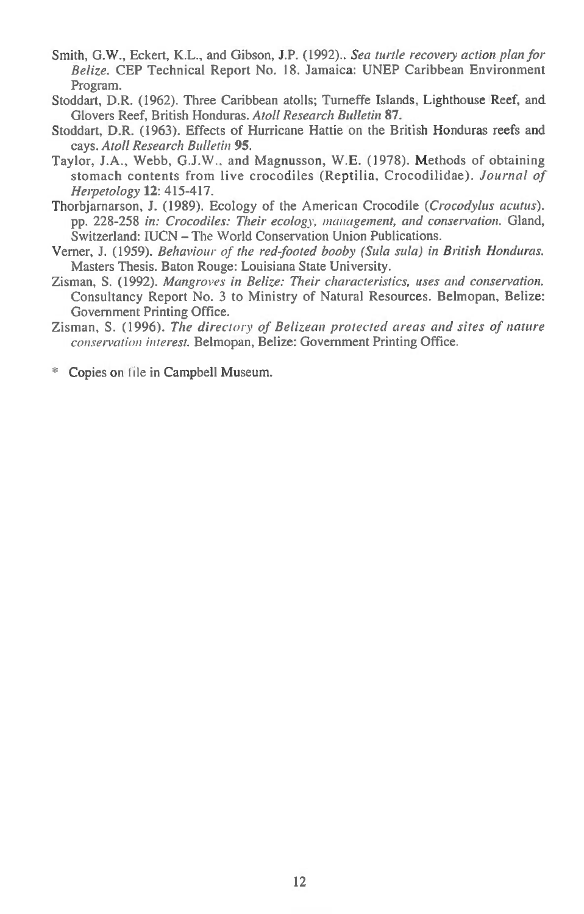- Smith, G.W., Eckert, K.L., and Gibson, J.P. (1992).. *Sea turtle recovery action plan for Belize.* CEP Technical Report No. 18. Jamaica: UNEP Caribbean Environment Program.
- Stoddart, D.R. (1962). Three Caribbean atolls; Turneffe Islands, Lighthouse Reef, and Glovers Reef, British Honduras. *Atoll Research Bulletin* **87.**
- Stoddart, D.R. (1963). Effects of Hurricane Hattie on the British Honduras reefs and cays. *Atoll Research Bulletin* **95.**
- Taylor, J.A., Webb, G.J.W., and Magnusson, W.E. (1978). Methods of obtaining stomach contents from live crocodiles (Reptilia, Crocodilidae). *Journal of Herpetology* 12: 415-417.
- Thorbjarnarson, J. (1989). Ecology of the American Crocodile *(Crocodylus acutus).*  pp. 228-258 *in: Crocodiles: Their ecology, management, and conservation.* Gland, Switzerland: IUCN — The World Conservation Union Publications.
- Verner, J. (1959). *Behaviour of the red-footed booby (Sula sula) in British Honduras.*  Masters Thesis. Baton Rouge: Louisiana State University.
- Zisman, S. (1992). *Mangroves in Belize: Their characteristics, uses and conservation.*  Consultancy Report No. 3 to Ministry of Natural Resources. Belmopan, Belize: Government Printing Office.
- Zisman, S. (1996). *The directory of Belizean protected areas and sites of nature conservation interest.* Belmopan, Belize: Government Printing Office.

\* Copies on file in Campbell Museum.